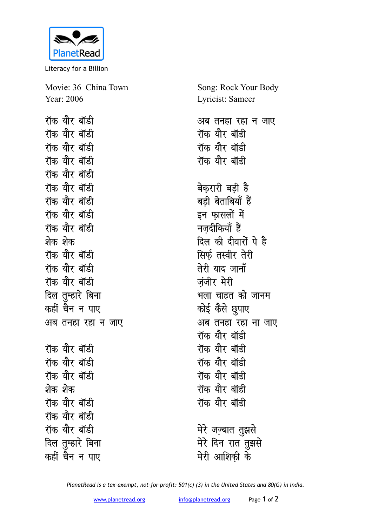

Literacy for a Billion

Movie: 36 China Town Year: 2006

**रॉक योर बॉडी** <u>रॉक यौर बॉडी</u> **रॉक योर बॉडी रॉक योर बॉडी रॉक यौर बॉडी रॉक यौर बॉडी** <u>रॉक यौर बॉडी</u> **रॉक यौर बॉडी रॉक योर बॉडी** शेक शेक **रॉक यौर बॉडी रॉक यौर बॉडी** रॉक यौर बॉड<u>ी</u> दिल तुम्हारे बिना कहीं चैन न पाए अब तनहा रहा न जाए **रॉक यौर बॉडी** रॉक यौर बॉड<u>ी</u> **रॉक योर बॉडी** <u>शेक शेक</u> <u>रॉक यौर बॉडी</u> **रॉक यौर बॉडी रॉक यौर बॉडी** <u>दिल तु</u>म्हारे बिना कहीं चैन न पाए

Song: Rock Your Body Lyricist: Sameer अब तनहा रहा न जाए **रॉक यौर बॉडी रॉक योर बॉडी रॉक यौर बॉडी** बेकरारी बडी ह<del>ै</del> बडी बेताबियाँ हैं इन फासलों में **नजदीकियाँ हैं** दिल की दीवारों पे है **सिर्फ** तस्वीर तेरी तेरी याद जानाँ **ज़ंजीर मेरी** भला चाहत को जानम कोई कैसे छुपाए <u>अब तनहा रहा ना जाए</u> **रॉक यौर बॉडी रॉक यौर बॉडी रॉक यौर बॉडी रॉक यौर बॉडी रॉक यौर बॉडी** <u>रॉक यौर बॉडी</u> मेरे जज़्बात तुझसे

मेरे दिन रात तुझसे मेरी आशिकी के

*PlanetRead is a tax-exempt, not-for-profit: 501(c) (3) in the United States and 80(G) in India.*